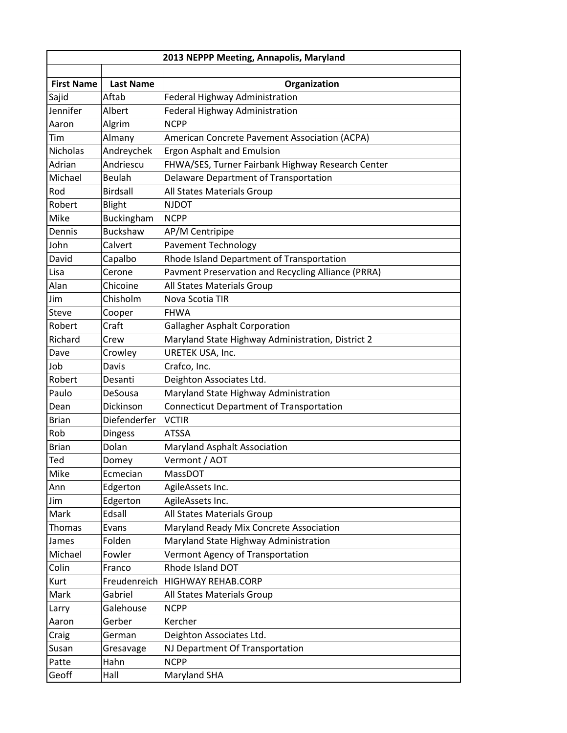|                   |                  | 2013 NEPPP Meeting, Annapolis, Maryland            |
|-------------------|------------------|----------------------------------------------------|
|                   |                  |                                                    |
| <b>First Name</b> | <b>Last Name</b> | Organization                                       |
| Sajid             | Aftab            | Federal Highway Administration                     |
| Jennifer          | Albert           | Federal Highway Administration                     |
| Aaron             | Algrim           | <b>NCPP</b>                                        |
| Tim               | Almany           | American Concrete Pavement Association (ACPA)      |
| <b>Nicholas</b>   | Andreychek       | Ergon Asphalt and Emulsion                         |
| Adrian            | Andriescu        | FHWA/SES, Turner Fairbank Highway Research Center  |
| Michael           | Beulah           | Delaware Department of Transportation              |
| Rod               | <b>Birdsall</b>  | All States Materials Group                         |
| Robert            | <b>Blight</b>    | <b>NJDOT</b>                                       |
| Mike              | Buckingham       | <b>NCPP</b>                                        |
| Dennis            | <b>Buckshaw</b>  | AP/M Centripipe                                    |
| John              | Calvert          | <b>Pavement Technology</b>                         |
| David             | Capalbo          | Rhode Island Department of Transportation          |
| Lisa              | Cerone           | Pavment Preservation and Recycling Alliance (PRRA) |
| Alan              | Chicoine         | All States Materials Group                         |
| Jim               | Chisholm         | Nova Scotia TIR                                    |
| <b>Steve</b>      | Cooper           | <b>FHWA</b>                                        |
| Robert            | Craft            | <b>Gallagher Asphalt Corporation</b>               |
| Richard           | Crew             | Maryland State Highway Administration, District 2  |
| Dave              | Crowley          | URETEK USA, Inc.                                   |
| Job               | Davis            | Crafco, Inc.                                       |
| Robert            | Desanti          | Deighton Associates Ltd.                           |
| Paulo             | DeSousa          | Maryland State Highway Administration              |
| Dean              | Dickinson        | <b>Connecticut Department of Transportation</b>    |
| <b>Brian</b>      | Diefenderfer     | <b>VCTIR</b>                                       |
| Rob               | <b>Dingess</b>   | <b>ATSSA</b>                                       |
| <b>Brian</b>      | Dolan            | <b>Maryland Asphalt Association</b>                |
| Ted               | Domey            | Vermont / AOT                                      |
| Mike              | Ecmecian         | MassDOT                                            |
| Ann               | Edgerton         | AgileAssets Inc.                                   |
| Jim               | Edgerton         | AgileAssets Inc.                                   |
| Mark              | Edsall           | All States Materials Group                         |
| Thomas            | Evans            | Maryland Ready Mix Concrete Association            |
| James             | Folden           | Maryland State Highway Administration              |
| Michael           | Fowler           | Vermont Agency of Transportation                   |
| Colin             | Franco           | Rhode Island DOT                                   |
| Kurt              | Freudenreich     | <b>HIGHWAY REHAB.CORP</b>                          |
| Mark              | Gabriel          | All States Materials Group                         |
| Larry             | Galehouse        | <b>NCPP</b>                                        |
| Aaron             | Gerber           | Kercher                                            |
| Craig             | German           | Deighton Associates Ltd.                           |
| Susan             | Gresavage        | NJ Department Of Transportation                    |
| Patte             | Hahn             | <b>NCPP</b>                                        |
| Geoff             | Hall             | Maryland SHA                                       |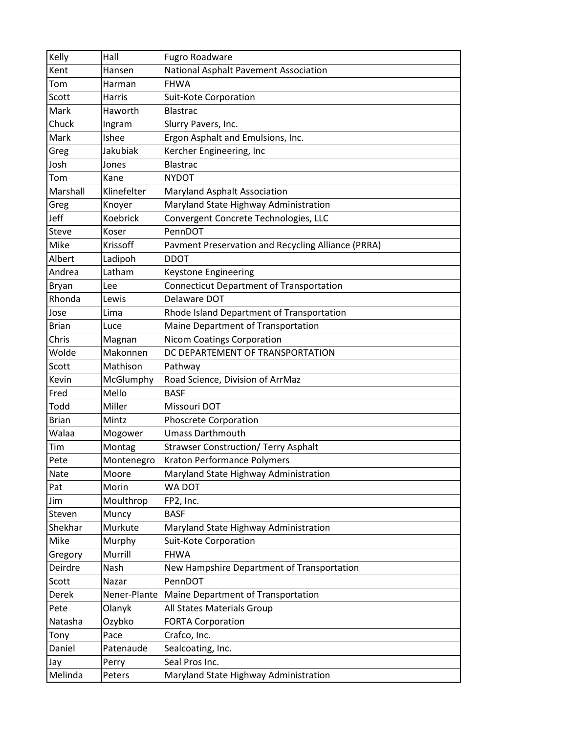| Kelly        | Hall            | Fugro Roadware                                     |
|--------------|-----------------|----------------------------------------------------|
| Kent         | Hansen          | National Asphalt Pavement Association              |
| Tom          | Harman          | <b>FHWA</b>                                        |
| Scott        | Harris          | Suit-Kote Corporation                              |
| Mark         | Haworth         | <b>Blastrac</b>                                    |
| Chuck        | Ingram          | Slurry Pavers, Inc.                                |
| Mark         | Ishee           | Ergon Asphalt and Emulsions, Inc.                  |
| Greg         | Jakubiak        | Kercher Engineering, Inc                           |
| Josh         | Jones           | <b>Blastrac</b>                                    |
| Tom          | Kane            | <b>NYDOT</b>                                       |
| Marshall     | Klinefelter     | Maryland Asphalt Association                       |
| Greg         | Knoyer          | Maryland State Highway Administration              |
| Jeff         | <b>Koebrick</b> | Convergent Concrete Technologies, LLC              |
| <b>Steve</b> | Koser           | PennDOT                                            |
| Mike         | Krissoff        | Pavment Preservation and Recycling Alliance (PRRA) |
| Albert       | Ladipoh         | <b>DDOT</b>                                        |
| Andrea       | Latham          | Keystone Engineering                               |
| Bryan        | Lee             | <b>Connecticut Department of Transportation</b>    |
| Rhonda       | Lewis           | Delaware DOT                                       |
| Jose         | Lima            | Rhode Island Department of Transportation          |
| <b>Brian</b> | Luce            | Maine Department of Transportation                 |
| Chris        | Magnan          | <b>Nicom Coatings Corporation</b>                  |
| Wolde        | Makonnen        | DC DEPARTEMENT OF TRANSPORTATION                   |
| Scott        | Mathison        | Pathway                                            |
| Kevin        | McGlumphy       | Road Science, Division of ArrMaz                   |
| Fred         | Mello           | <b>BASF</b>                                        |
| Todd         | Miller          | Missouri DOT                                       |
| <b>Brian</b> | Mintz           | Phoscrete Corporation                              |
| Walaa        | Mogower         | <b>Umass Darthmouth</b>                            |
| Tim          | Montag          | <b>Strawser Construction/ Terry Asphalt</b>        |
| Pete         | Montenegro      | <b>Kraton Performance Polymers</b>                 |
| Nate         | Moore           | Maryland State Highway Administration              |
| Pat          | Morin           | WA DOT                                             |
| Jim          | Moulthrop       | FP2, Inc.                                          |
| Steven       | Muncy           | <b>BASF</b>                                        |
| Shekhar      | Murkute         | Maryland State Highway Administration              |
| Mike         | Murphy          | Suit-Kote Corporation                              |
| Gregory      | Murrill         | <b>FHWA</b>                                        |
| Deirdre      | Nash            | New Hampshire Department of Transportation         |
| Scott        | Nazar           | PennDOT                                            |
| Derek        | Nener-Plante    | Maine Department of Transportation                 |
| Pete         | Olanyk          | All States Materials Group                         |
| Natasha      | Ozybko          | <b>FORTA Corporation</b>                           |
| Tony         | Pace            | Crafco, Inc.                                       |
| Daniel       | Patenaude       | Sealcoating, Inc.                                  |
| Jay          | Perry           | Seal Pros Inc.                                     |
| Melinda      | Peters          | Maryland State Highway Administration              |